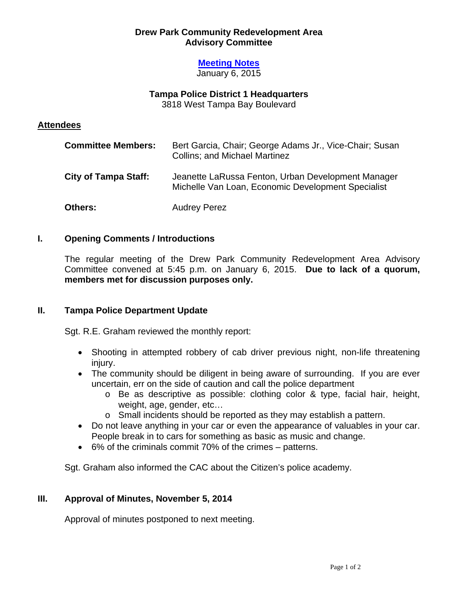### **Drew Park Community Redevelopment Area Advisory Committee**

# **Meeting Notes**

January 6, 2015

## **Tampa Police District 1 Headquarters**

3818 West Tampa Bay Boulevard

### **Attendees**

| <b>Committee Members:</b>   | Bert Garcia, Chair; George Adams Jr., Vice-Chair; Susan<br><b>Collins; and Michael Martinez</b>          |
|-----------------------------|----------------------------------------------------------------------------------------------------------|
| <b>City of Tampa Staff:</b> | Jeanette LaRussa Fenton, Urban Development Manager<br>Michelle Van Loan, Economic Development Specialist |
| <b>Others:</b>              | <b>Audrey Perez</b>                                                                                      |

### **I. Opening Comments / Introductions**

The regular meeting of the Drew Park Community Redevelopment Area Advisory Committee convened at 5:45 p.m. on January 6, 2015. **Due to lack of a quorum, members met for discussion purposes only.** 

### **II. Tampa Police Department Update**

Sgt. R.E. Graham reviewed the monthly report:

- Shooting in attempted robbery of cab driver previous night, non-life threatening injury.
- The community should be diligent in being aware of surrounding. If you are ever uncertain, err on the side of caution and call the police department
	- o Be as descriptive as possible: clothing color & type, facial hair, height, weight, age, gender, etc…
	- o Small incidents should be reported as they may establish a pattern.
- Do not leave anything in your car or even the appearance of valuables in your car. People break in to cars for something as basic as music and change.
- 6% of the criminals commit 70% of the crimes patterns.

Sgt. Graham also informed the CAC about the Citizen's police academy.

### **III. Approval of Minutes, November 5, 2014**

Approval of minutes postponed to next meeting.